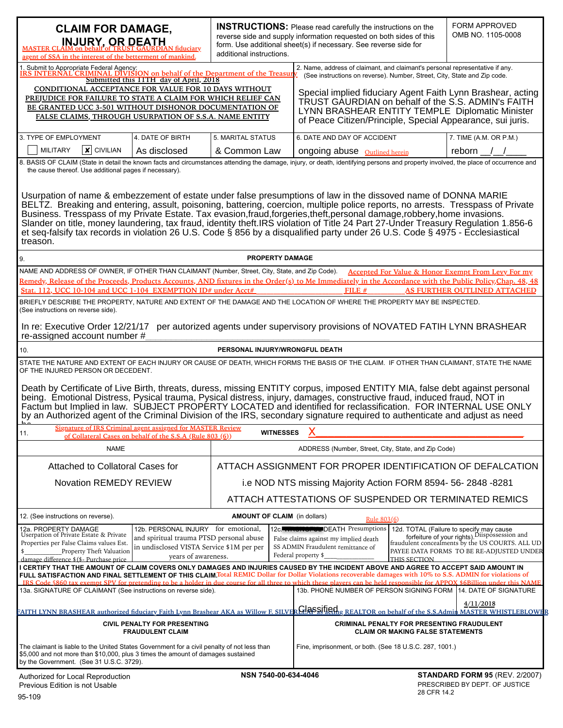| <b>CLAIM FOR DAMAGE,</b><br><b>INJURY, OR DEATH</b><br>MASTER CLAIM on behalf of TRUST GAURDIAN fiduciary<br>agent of SSA in the interest of the betterment of mankind.                                                                                                                                                                                                                                                                                                                                                                                                                                                                                      |                                  | additional instructions.                            |                                                                                                                                         | <b>INSTRUCTIONS:</b> Please read carefully the instructions on the<br>reverse side and supply information requested on both sides of this<br>form. Use additional sheet(s) if necessary. See reverse side for                                                                                                  |                                                                                                                                                                                                      | <b>FORM APPROVED</b><br>OMB NO. 1105-0008          |
|--------------------------------------------------------------------------------------------------------------------------------------------------------------------------------------------------------------------------------------------------------------------------------------------------------------------------------------------------------------------------------------------------------------------------------------------------------------------------------------------------------------------------------------------------------------------------------------------------------------------------------------------------------------|----------------------------------|-----------------------------------------------------|-----------------------------------------------------------------------------------------------------------------------------------------|----------------------------------------------------------------------------------------------------------------------------------------------------------------------------------------------------------------------------------------------------------------------------------------------------------------|------------------------------------------------------------------------------------------------------------------------------------------------------------------------------------------------------|----------------------------------------------------|
| 2. Name, address of claimant, and claimant's personal representative if any.<br>2<br>I. Submit to Appropriate Federal Agency:<br>IRS INTERNAL CRIMINAL DIVISION on behalf of the Department of the Treasury.<br>Submitted this 11TH day of April, 2018                                                                                                                                                                                                                                                                                                                                                                                                       |                                  |                                                     |                                                                                                                                         |                                                                                                                                                                                                                                                                                                                |                                                                                                                                                                                                      |                                                    |
| <b>CONDITIONAL ACCEPTANCE FOR VALUE FOR 10 DAYS WITHOUT</b><br>PREJUDICE FOR FAILURE TO STATE A CLAIM FOR WHICH RELIEF CAN<br>BE GRANTED UCC 3-501 WITHOUT DISHONOR DOCUMENTATION OF<br>FALSE CLAIMS, THROUGH USURPATION OF S.S.A. NAME ENTITY                                                                                                                                                                                                                                                                                                                                                                                                               |                                  |                                                     |                                                                                                                                         | (See instructions on reverse). Number, Street, City, State and Zip code.<br>Special implied fiduciary Agent Faith Lynn Brashear, acting<br>TRUST GAURDIAN on behalf of the S.S. ADMIN's FAITH<br>LYNN BRASHEAR ENTITY TEMPLE Diplomatic Minister<br>of Peace Citizen/Principle, Special Appearance, sui juris. |                                                                                                                                                                                                      |                                                    |
| 3. TYPE OF EMPLOYMENT<br>4. DATE OF BIRTH                                                                                                                                                                                                                                                                                                                                                                                                                                                                                                                                                                                                                    |                                  | 5. MARITAL STATUS                                   |                                                                                                                                         | 6. DATE AND DAY OF ACCIDENT                                                                                                                                                                                                                                                                                    |                                                                                                                                                                                                      | 7. TIME (A.M. OR P.M.)                             |
| $ X $ CIVILIAN<br><b>MILITARY</b><br>As disclosed                                                                                                                                                                                                                                                                                                                                                                                                                                                                                                                                                                                                            |                                  | & Common Law                                        |                                                                                                                                         | ongoing abuse Outlined herein                                                                                                                                                                                                                                                                                  |                                                                                                                                                                                                      | reborn / $/$                                       |
| 8. BASIS OF CLAIM (State in detail the known facts and circumstances attending the damage, injury, or death, identifying persons and property involved, the place of occurrence and<br>the cause thereof. Use additional pages if necessary).<br>Usurpation of name & embezzement of estate under false presumptions of law in the dissoved name of DONNA MARIE<br>BELTZ. Breaking and entering, assult, poisoning, battering, coercion, multiple police reports, no arrests. Tresspass of Private                                                                                                                                                           |                                  |                                                     |                                                                                                                                         |                                                                                                                                                                                                                                                                                                                |                                                                                                                                                                                                      |                                                    |
| Business. Tresspass of my Private Estate. Tax evasion, fraud, forgeries, theft, personal damage, robbery, home invasions.<br>Slander on title, money laundering, tax fraud, identity theft.IRS violation of Title 24 Part 27-Under Treasury Regulation 1.856-6<br>et seq-falsify tax records in violation 26 U.S. Code § 856 by a disqualified party under 26 U.S. Code § 4975 - Ecclesiastical<br>trasenn                                                                                                                                                                                                                                                   |                                  |                                                     |                                                                                                                                         |                                                                                                                                                                                                                                                                                                                |                                                                                                                                                                                                      |                                                    |
|                                                                                                                                                                                                                                                                                                                                                                                                                                                                                                                                                                                                                                                              |                                  |                                                     | <b>PROPERTY DAMAGE</b>                                                                                                                  |                                                                                                                                                                                                                                                                                                                |                                                                                                                                                                                                      |                                                    |
| NAME AND ADDRESS OF OWNER, IF OTHER THAN CLAIMANT (Number, Street, City, State, and Zip Code).                                                                                                                                                                                                                                                                                                                                                                                                                                                                                                                                                               |                                  |                                                     |                                                                                                                                         |                                                                                                                                                                                                                                                                                                                |                                                                                                                                                                                                      | Accepted For Value & Honor Exempt From Levy For my |
| Remedy, Release of the Proceeds, Products Accounts, AND fixtures in the Order(s) to Me Immediately in the Accordance with the Public Policy, Chap. 48, 48<br>Stat. 112, UCC 10-104 and UCC 1-104 EXEMPTION ID# under Acct#                                                                                                                                                                                                                                                                                                                                                                                                                                   |                                  |                                                     |                                                                                                                                         | FILE $#$                                                                                                                                                                                                                                                                                                       |                                                                                                                                                                                                      | AS FURTHER OUTLINED ATTACHED                       |
| BRIEFLY DESCRIBE THE PROPERTY, NATURE AND EXTENT OF THE DAMAGE AND THE LOCATION OF WHERE THE PROPERTY MAY BE INSPECTED.<br>(See instructions on reverse side).<br>In re: Executive Order 12/21/17 per autorized agents under supervisory provisions of NOVATED FATIH LYNN BRASHEAR                                                                                                                                                                                                                                                                                                                                                                           |                                  |                                                     |                                                                                                                                         |                                                                                                                                                                                                                                                                                                                |                                                                                                                                                                                                      |                                                    |
| re-assigned account number #                                                                                                                                                                                                                                                                                                                                                                                                                                                                                                                                                                                                                                 |                                  |                                                     |                                                                                                                                         |                                                                                                                                                                                                                                                                                                                |                                                                                                                                                                                                      |                                                    |
| 10.                                                                                                                                                                                                                                                                                                                                                                                                                                                                                                                                                                                                                                                          |                                  | PERSONAL INJURY/WRONGFUL DEATH                      |                                                                                                                                         |                                                                                                                                                                                                                                                                                                                |                                                                                                                                                                                                      |                                                    |
| STATE THE NATURE AND EXTENT OF EACH INJURY OR CAUSE OF DEATH, WHICH FORMS THE BASIS OF THE CLAIM. IF OTHER THAN CLAIMANT, STATE THE NAME<br>OF THE INJURED PERSON OR DECEDENT.                                                                                                                                                                                                                                                                                                                                                                                                                                                                               |                                  |                                                     |                                                                                                                                         |                                                                                                                                                                                                                                                                                                                |                                                                                                                                                                                                      |                                                    |
| Death by Certificate of Live Birth, threats, duress, missing ENTITY corpus, imposed ENTITY MIA, false debt against personal<br>being. Emotional Distress, Pysical trauma, Pysical distress, injury, damages, constructive fraud, induced fraud, NOT in<br>Factum but Implied in law. SUBJECT PROPERTY LOCATED and identified for reclassification. FOR INTERNAL USE ONLY<br>by an Authorized agent of the Criminal Division of the IRS, secondary signature required to authenticate and adjust as need be.<br>Signature of IRS Criminal agent assigned for MASTER Review<br>WITNESSES X<br>11.<br>of Collateral Cases on behalf of the S.S.A (Rule 803 (6)) |                                  |                                                     |                                                                                                                                         |                                                                                                                                                                                                                                                                                                                |                                                                                                                                                                                                      |                                                    |
| <b>NAME</b>                                                                                                                                                                                                                                                                                                                                                                                                                                                                                                                                                                                                                                                  |                                  | ADDRESS (Number, Street, City, State, and Zip Code) |                                                                                                                                         |                                                                                                                                                                                                                                                                                                                |                                                                                                                                                                                                      |                                                    |
|                                                                                                                                                                                                                                                                                                                                                                                                                                                                                                                                                                                                                                                              | Attached to Collatoral Cases for |                                                     |                                                                                                                                         | ATTACH ASSIGNMENT FOR PROPER IDENTIFICATION OF DEFALCATION                                                                                                                                                                                                                                                     |                                                                                                                                                                                                      |                                                    |
| Novation REMEDY REVIEW<br>i.e NOD NTS missing Majority Action FORM 8594-56-2848-8281                                                                                                                                                                                                                                                                                                                                                                                                                                                                                                                                                                         |                                  |                                                     |                                                                                                                                         |                                                                                                                                                                                                                                                                                                                |                                                                                                                                                                                                      |                                                    |
| ATTACH ATTESTATIONS OF SUSPENDED OR TERMINATED REMICS                                                                                                                                                                                                                                                                                                                                                                                                                                                                                                                                                                                                        |                                  |                                                     |                                                                                                                                         |                                                                                                                                                                                                                                                                                                                |                                                                                                                                                                                                      |                                                    |
| <b>AMOUNT OF CLAIM</b> (in dollars)<br>12. (See instructions on reverse).<br>Rule 803 (6)                                                                                                                                                                                                                                                                                                                                                                                                                                                                                                                                                                    |                                  |                                                     |                                                                                                                                         |                                                                                                                                                                                                                                                                                                                |                                                                                                                                                                                                      |                                                    |
| 12a. PROPERTY DAMAGE<br>12b. PERSONAL INJURY for emotional,<br>Userpation of Private Estate & Private<br>and spiritual trauma PTSD personal abuse<br>Properties per False Claims values Est.<br>in undisclosed VISTA Service \$1M per per<br>Property Theft Valuation<br>\$<br>years of awareness.<br>damage difference \$(\$- Purchase price                                                                                                                                                                                                                                                                                                                |                                  |                                                     | 12c. W.O. O. O. DEATH Presumptions<br>False claims against my implied death<br>SS ADMIN Fraudulent remittance of<br>Federal property \$ | THIS SECTION                                                                                                                                                                                                                                                                                                   | 12d. TOTAL (Failure to specify may cause<br>for form the contract of your rights). Dispossession and<br>fraudulent concealments by the US COURTS. ALL UD<br>PAYEE DATA FORMS TO BE RE-ADJUSTED UNDER |                                                    |
| CERTIFY THAT THE AMOUNT OF CLAIM COVERS ONLY DAMAGES AND INJURIES CAUSED BY THE INCIDENT ABOVE AND AGREE TO ACCEPT SAID AMOUNT IN<br>FULL SATISFACTION AND FINAL SETTLEMENT OF THIS CLAIM Total REMIC Dollar for Dollar Violations recoverable damages with 10% to S.S. ADMIN for violations of<br>IRS Code \$860 tax exempt SPV for pretending to be a holder in due course for all three to which these players can be held responsible for APPOX \$6Billion under this NAME<br>13b. PHONE NUMBER OF PERSON SIGNING FORM 14. DATE OF SIGNATURE<br>13a. SIGNATURE OF CLAIMANT (See instructions on reverse side).                                           |                                  |                                                     |                                                                                                                                         |                                                                                                                                                                                                                                                                                                                |                                                                                                                                                                                                      |                                                    |
|                                                                                                                                                                                                                                                                                                                                                                                                                                                                                                                                                                                                                                                              |                                  |                                                     |                                                                                                                                         | 4/11/2018<br>FAITH LYNN BRASHEAR authorized fiduciary Faith Lynn Brashear AKA as Willow F. SILVERCLASS Stating REALTOR on behalf of the S.S.Admin MASTER WHISTLEBLOWER                                                                                                                                         |                                                                                                                                                                                                      |                                                    |
| <b>CIVIL PENALTY FOR PRESENTING</b><br><b>FRAUDULENT CLAIM</b>                                                                                                                                                                                                                                                                                                                                                                                                                                                                                                                                                                                               |                                  |                                                     | <b>CRIMINAL PENALTY FOR PRESENTING FRAUDULENT</b><br><b>CLAIM OR MAKING FALSE STATEMENTS</b>                                            |                                                                                                                                                                                                                                                                                                                |                                                                                                                                                                                                      |                                                    |
| The claimant is liable to the United States Government for a civil penalty of not less than<br>\$5,000 and not more than \$10,000, plus 3 times the amount of damages sustained<br>by the Government. (See 31 U.S.C. 3729).                                                                                                                                                                                                                                                                                                                                                                                                                                  |                                  |                                                     |                                                                                                                                         | Fine, imprisonment, or both. (See 18 U.S.C. 287, 1001.)                                                                                                                                                                                                                                                        |                                                                                                                                                                                                      |                                                    |
| NSN 7540-00-634-4046<br><b>STANDARD FORM 95 (REV. 2/2007)</b><br>Authorized for Local Reproduction<br>PRESCRIBED BY DEPT. OF JUSTICE<br>Previous Edition is not Usable                                                                                                                                                                                                                                                                                                                                                                                                                                                                                       |                                  |                                                     |                                                                                                                                         |                                                                                                                                                                                                                                                                                                                |                                                                                                                                                                                                      |                                                    |